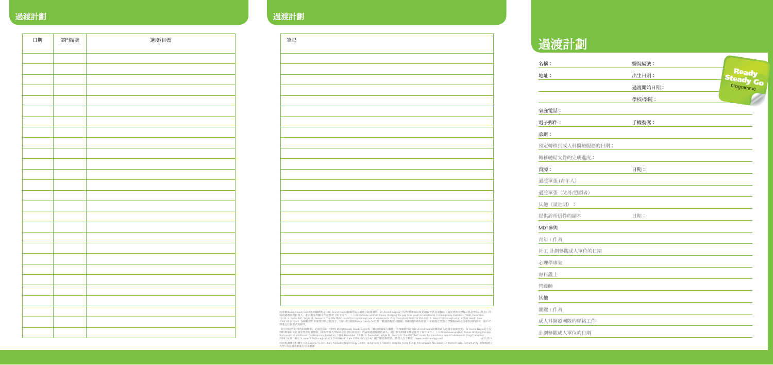# 過渡計劃

| 名稱:              | 醫院編號:   |                    |
|------------------|---------|--------------------|
| 地址:              | 出生日期:   | Ready<br>Steady Go |
|                  | 過渡開始日期: |                    |
|                  | 學校/學院:  |                    |
| 家庭電話:            |         |                    |
| 電子郵件:            | 手機號碼:   |                    |
| 診斷:              |         |                    |
| 預定轉移到成人科醫療服務的日期: |         |                    |
| 轉移總結文件的完成進度:     |         |                    |
| 資源:              | 日期:     |                    |
| 過渡單張(青年人)        |         |                    |
| 過渡單張 (父母/照顧者)    |         |                    |
| 其他(請註明):         |         |                    |
| 提供診所信件的副本        | 日期:     |                    |
| MDT參與            |         |                    |
| 青年工作者            |         |                    |
| 社工 計劃參觀成人單位的日期   |         |                    |
| 心理學專家            |         |                    |
| 專科護士             |         |                    |
| 營養師              |         |                    |
| 其他               |         |                    |
| 關鍵工作者            |         |                    |
| 成人科醫療團隊的聯絡工作     |         |                    |
| 計劃參觀成人單位的日期      |         |                    |

# 通渡計劃 2014年11月11日 1月11日 1月11日 1月11日 1月11日 1月11日 1月11日 1月11日 1月11日 1月11日 1月11日 1月11日 1月11日 1月11日 1月11日 1月11日 1月11日 1月11日 1月11日 1月11日 1月11日 1月11日 1月11日 1月11日 1月11日 1月11日 1月11日 1月11日 1月11日 1月11日 1月11日 1月11日 1月11日 1月11日 1月11日 1

| 日期 | 部門編號 | 進度/目標 | 筆記                                                                    |
|----|------|-------|-----------------------------------------------------------------------|
|    |      |       |                                                                       |
|    |      |       |                                                                       |
|    |      |       |                                                                       |
|    |      |       |                                                                       |
|    |      |       |                                                                       |
|    |      |       |                                                                       |
|    |      |       |                                                                       |
|    |      |       |                                                                       |
|    |      |       |                                                                       |
|    |      |       |                                                                       |
|    |      |       |                                                                       |
|    |      |       |                                                                       |
|    |      |       |                                                                       |
|    |      |       |                                                                       |
|    |      |       |                                                                       |
|    |      |       |                                                                       |
|    |      |       |                                                                       |
|    |      |       |                                                                       |
|    |      |       |                                                                       |
|    |      |       |                                                                       |
|    |      |       |                                                                       |
|    |      |       |                                                                       |
|    |      |       | 此計劃(Ready :<br>病童過渡服務1<br>13-16. 2. Paon<br>2006;10(1):22-<br>得進行任何形。 |
|    |      |       | 在引用這些材<br>腎科專家以及 <del>,</del><br>from youth to                        |
|    |      |       |                                                                       |

| 筆記 |  |
|----|--|
|    |  |
|    |  |
|    |  |
|    |  |
|    |  |
|    |  |
|    |  |
|    |  |
|    |  |
|    |  |
|    |  |
|    |  |
|    |  |
|    |  |
|    |  |
|    |  |
|    |  |
|    |  |
|    |  |
|    |  |
|    |  |
|    |  |
|    |  |

此計劃(Ready Steady Go)以及相關資料是由Dr Arvind Nagra領導的病人過渡小組開發的。Dr Arvind Nagra是小兒腎科專家以及是南安普敦兒童醫院(南安普敦大學NHS基金會信託基金)的<br>病童過渡服務負責人。此計劃及相關文件是參考了如下文件: 1. S Whitehouse and MC Paone. Bridging the gap from youth to adulthood. Contemporary

- 在引用這些材料的出版物中,必須包括以下聲明; 此計劃(Ready Steady Go)以及「歡迎蒞臨成人服務」的相關資料是由Dr Arvind Nagra領導的病人過渡小組開發的。Dr Arvind Nagra是小兒<br>腎科專家以及是南安普敦兒童醫院(南安普敦大學NHS基金會信託基金)的病童過渡服務負責人。此計劃及相關文件是參考了如下文件: 1. S Whitehouse and MC Paone. Bridging the gap<br>f

特別鳴謝陳宇軒醫生 (Dr. Eugene Yu-hin Chan, Paediatric Nephrology Centre, Hong Kong Children's Hospital, Hong Kong), Ms Junaidah Abu Baker, Dr Mahesh babu Ramamurthy (新加坡國立<br>大學) 為這項計劃進行中文翻譯